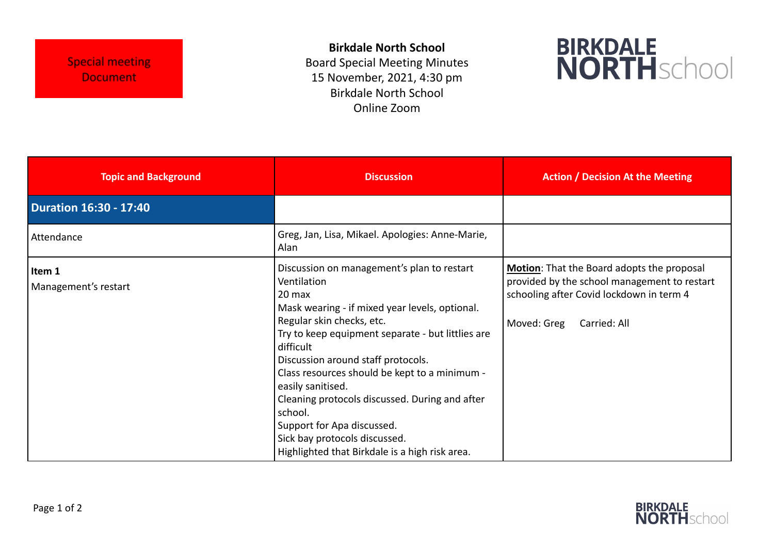**Birkdale North School** Board Special Meeting Minutes 15 November, 2021, 4:30 pm Birkdale North School Online Zoom



| <b>Topic and Background</b>    | <b>Discussion</b>                                                                                                                                                                                                                                                                                                                                                                                                                                                                                              | <b>Action / Decision At the Meeting</b>                                                                                                                               |
|--------------------------------|----------------------------------------------------------------------------------------------------------------------------------------------------------------------------------------------------------------------------------------------------------------------------------------------------------------------------------------------------------------------------------------------------------------------------------------------------------------------------------------------------------------|-----------------------------------------------------------------------------------------------------------------------------------------------------------------------|
| <b>Duration 16:30 - 17:40</b>  |                                                                                                                                                                                                                                                                                                                                                                                                                                                                                                                |                                                                                                                                                                       |
| Attendance                     | Greg, Jan, Lisa, Mikael. Apologies: Anne-Marie,<br>Alan                                                                                                                                                                                                                                                                                                                                                                                                                                                        |                                                                                                                                                                       |
| Item 1<br>Management's restart | Discussion on management's plan to restart<br>Ventilation<br>20 max<br>Mask wearing - if mixed year levels, optional.<br>Regular skin checks, etc.<br>Try to keep equipment separate - but littlies are<br>difficult<br>Discussion around staff protocols.<br>Class resources should be kept to a minimum -<br>easily sanitised.<br>Cleaning protocols discussed. During and after<br>school.<br>Support for Apa discussed.<br>Sick bay protocols discussed.<br>Highlighted that Birkdale is a high risk area. | Motion: That the Board adopts the proposal<br>provided by the school management to restart<br>schooling after Covid lockdown in term 4<br>Moved: Greg<br>Carried: All |